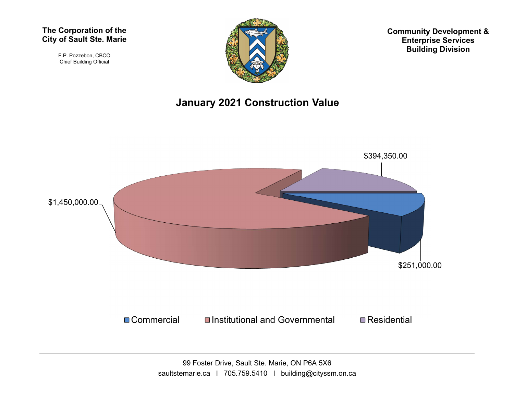#### The Corporation of the City of Sault Ste. Marie

F.P. Pozzebon, CBCO Chief Building Official



Community Development & Enterprise Services Building Division

#### January 2021 Construction Value



99 Foster Drive, Sault Ste. Marie, ON P6A 5X6 saultstemarie.ca | 705.759.5410 | building@cityssm.on.ca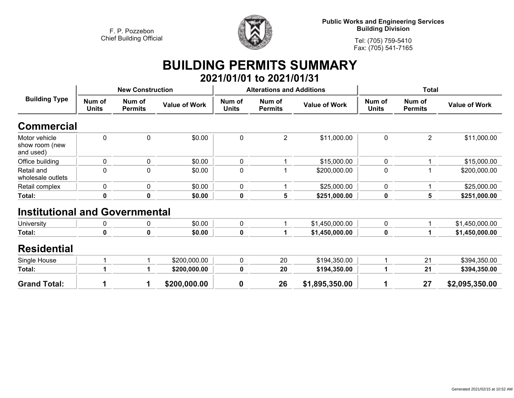

**Public Works and Engineering Services Building Division**

**Tel: (705) 759-5410 Fax: (705) 541-7165**

# **BUILDING PERMITS SUMMARY 2021/01/01 to 2021/01/31**

| <b>Building Type</b>                         |                        | <b>New Construction</b>  |                      |                        | <b>Alterations and Additions</b> |                      | <b>Total</b>           |                          |                      |
|----------------------------------------------|------------------------|--------------------------|----------------------|------------------------|----------------------------------|----------------------|------------------------|--------------------------|----------------------|
|                                              | Num of<br><b>Units</b> | Num of<br><b>Permits</b> | <b>Value of Work</b> | Num of<br><b>Units</b> | Num of<br><b>Permits</b>         | <b>Value of Work</b> | Num of<br><b>Units</b> | Num of<br><b>Permits</b> | <b>Value of Work</b> |
| <b>Commercial</b>                            |                        |                          |                      |                        |                                  |                      |                        |                          |                      |
| Motor vehicle<br>show room (new<br>and used) | $\mathbf 0$            | 0                        | \$0.00               | 0                      | $\overline{2}$                   | \$11,000.00          | 0                      | $\overline{2}$           | \$11,000.00          |
| Office building                              | 0                      | 0                        | \$0.00               | 0                      |                                  | \$15,000.00          | 0                      |                          | \$15,000.00          |
| Retail and<br>wholesale outlets              | $\mathbf 0$            | $\mathbf 0$              | \$0.00               | 0                      |                                  | \$200,000.00         | 0                      |                          | \$200,000.00         |
| Retail complex                               | 0                      | 0                        | \$0.00               | 0                      |                                  | \$25,000.00          | 0                      |                          | \$25,000.00          |
| Total:                                       | $\mathbf 0$            | $\mathbf 0$              | \$0.00               | 0                      | $5\phantom{1}$                   | \$251,000.00         | $\mathbf 0$            | 5                        | \$251,000.00         |
| <b>Institutional and Governmental</b>        |                        |                          |                      |                        |                                  |                      |                        |                          |                      |
| University                                   | 0                      | 0                        | \$0.00               | 0                      | 1                                | \$1,450,000.00       | $\pmb{0}$              | 1                        | \$1,450,000.00       |
| Total:                                       | $\mathbf 0$            | $\pmb{0}$                | \$0.00               | 0                      |                                  | \$1,450,000.00       | 0                      |                          | \$1,450,000.00       |
| <b>Residential</b>                           |                        |                          |                      |                        |                                  |                      |                        |                          |                      |
| Single House                                 |                        |                          | \$200,000.00         | 0                      | 20                               | \$194,350.00         |                        | 21                       | \$394,350.00         |
| Total:                                       |                        |                          | \$200,000.00         | 0                      | 20                               | \$194,350.00         |                        | 21                       | \$394,350.00         |
| <b>Grand Total:</b>                          |                        | 1                        | \$200,000.00         | $\bf{0}$               | 26                               | \$1,895,350.00       | 1                      | 27                       | \$2,095,350.00       |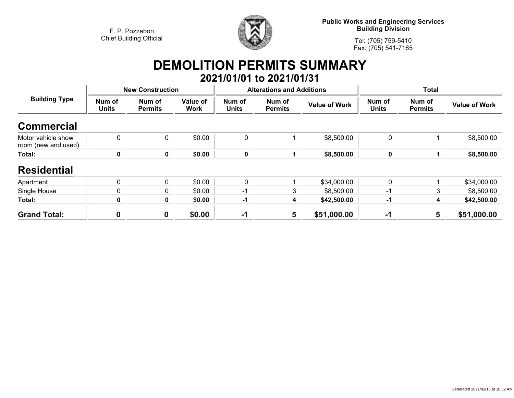

**Public Works and Engineering Services Building Division**

**Tel: (705) 759-5410Fax: (705) 541-7165**

# **DEMOLITION PERMITS SUMMARY 2021/01/01 to 2021/01/31**

| <b>Building Type</b>                      |                        | <b>New Construction</b>  |                         |                        | <b>Alterations and Additions</b> |                      | <b>Total</b>           |                          |                      |
|-------------------------------------------|------------------------|--------------------------|-------------------------|------------------------|----------------------------------|----------------------|------------------------|--------------------------|----------------------|
|                                           | Num of<br><b>Units</b> | Num of<br><b>Permits</b> | Value of<br><b>Work</b> | Num of<br><b>Units</b> | Num of<br><b>Permits</b>         | <b>Value of Work</b> | Num of<br><b>Units</b> | Num of<br><b>Permits</b> | <b>Value of Work</b> |
| <b>Commercial</b>                         |                        |                          |                         |                        |                                  |                      |                        |                          |                      |
| Motor vehicle show<br>room (new and used) | $\mathbf{0}$           | 0                        | \$0.00                  | 0                      |                                  | \$8,500.00           | 0                      |                          | \$8,500.00           |
| Total:                                    | 0                      | 0                        | \$0.00                  | 0                      |                                  | \$8,500.00           | 0                      |                          | \$8,500.00           |
| <b>Residential</b>                        |                        |                          |                         |                        |                                  |                      |                        |                          |                      |
| Apartment                                 | 0                      | $\mathbf{0}$             | \$0.00                  | 0                      |                                  | \$34,000.00          | $\mathbf 0$            |                          | \$34,000.00          |
| Single House                              | $\mathbf{0}$           | $\mathbf{0}$             | \$0.00                  | -1                     | 3                                | \$8,500.00           | $-1$                   | 3                        | \$8,500.00           |
| Total:                                    | 0                      | 0                        | \$0.00                  | -1                     | 4                                | \$42,500.00          | -1                     | 4                        | \$42,500.00          |
| <b>Grand Total:</b>                       | $\mathbf 0$            | 0                        | \$0.00                  | $-1$                   | 5                                | \$51,000.00          | -1                     | 5                        | \$51,000.00          |